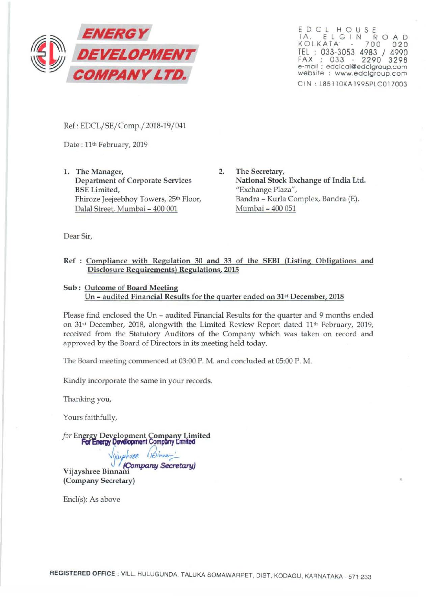

E D C L H O U S E<br>IA, E L G I N R O A D<br>KOLKATA - 700 020 TEL : 033-3053 4983 / 4990 FAX ; 033 - 2290 3298 e-mail : edclcol@edclgroup.com website : www.edclgroup.com CIN: L85110KA1995PLC017003

..

Ref: EDCL/SE/Comp./2018-19/041

Date: 11<sup>th</sup> February, 2019

1. The Manager, Department of Corporate Services BSE Limited, Phiroze Jeejeebhoy Towers, 25<sup>th</sup> Floor, Dalal Street, Murnbai- 400 001

2. The Secretary, National Stock Exchange of India Ltd. "Exchange Plaza", Bandra- Kurla Complex, Bandra (E), Mumbai - 400 051

Dear Sir,

## Ref : Compliance with Regulation 30 and 33 of the SEBI (Listing Obligations and Disclosure Requirements) Regulations, 2015

# Sub : Outcome of Board Meeting Un - audited Financial Results for the quarter ended on 31<sup>st</sup> December, 2018

Please find enclosed the Un - audited Financial Results for the quarter and 9 months ended on  $31$ <sup>st</sup> December, 2018, alongwith the Limited Review Report dated  $11<sup>th</sup>$  February, 2019, received from the Statutory Auditors of the Company which was taken on record and approved by the Board of Directors in its meeting held today.

The Board meeting commenced at 03:00 P. M. and concluded at 05:00 P. M.

Kindly incorporate the same in your records.

Thanking you,

Yours faithfully,

for Energy Development Company Limited **For Energy Development Company Limited** 

Vijayshree (Binnan

Vijayshree Binnani (Company Secretary)

Encl(s): As above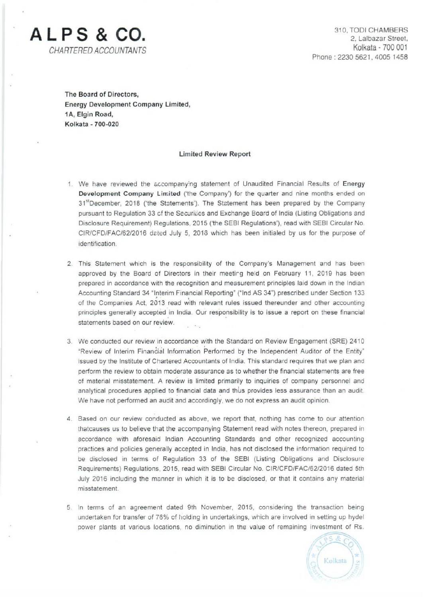

310, TOOl CHAMBERS 2. Lalbazar Street. Kolkata - 700 001 Phone: 2230 5621, 4005 1458

The Board of Directors, Energy Development Company Limited, 1A, Elgin Road, Kolkata - 700-020

## Limited Review Report

- 1. We have reviewed the accompanying statement of Unaudited Financial Results of Energy Development Company Limited ('the Company') for the quarter and nine months ended on 31<sup>st</sup>December, 2018 ('the Statements'). The Statement has been prepared by the Company pursuant to Regulation 33 cf the Securities and Exchange Board of India (Listing Obligations and Disclosure Requirement) Regulations, 2015 ('the SEBI Regulations'), read with SEBI Circular No CIR/CFD/FAC/62/2016 dated July 5, 2016 which has been initialed by us for the purpose of identification.
- 2. This Statement which is the responsibility of the Company's Management and has been approved by the Board of Directors in their meetirg held on February 11, 2019 has been prepared in accordance with the recognition and measurement principles laid down in the Indian Accounting Standard 34 "Interim Financial Reporting" ("lnd AS 34") prescribed under Section 133 of the Companies Act, 2013 read with relevant rules issued thereunder and other accounting principles generally accepted in India. Our responsibility is to issue a report on these financial statements based on our review.
- 3. We conducted our review in accordance with the Standard on Review Engagement (SRE) 2410 "Review of Interim Finantial Information Performed by the Independent Auditor of the Entity" issued by the Institute of Chartered Accountants of India. This standard requires that we plan and perform the review to obtain moderate assurance as to whether the financial statements are free of material misstatement. A review is limited primarily to inquiries of company personnel and analytical procedures applied to financial data and thus provides less assurance than an audit. We have not performed an audit and accordingly, we do not express an audit opinion.
- 4. Based on our review conducted as above, we report that, nothing has come to our attention thatcauses us to believe that the accompanying Statement read with notes thereon, prepared in accordance with aforesaid Indian Accounting Standards and other recognized accounting practices and policies generally accepted in India, has not disclosed the information required to be disclosed in terms of Regulation 33 of the SEBI (Listing Obligations and Disclosure Requirements) Regulations, 2015, read with SEBI Circular No. CIR/CFD/FAC/62/2016 dated 5th July 2016 including the manner in which it is to be disclosed, or that it contains any material misstatement.
- 5. In terms of an agreement dated 9th November, 2015, considering the transaction being undertaken for transfer of 76% of holding in undertakings, which are involved in setting up hydel power plants at various locations, no diminution in the value of remaining investment of Rs.

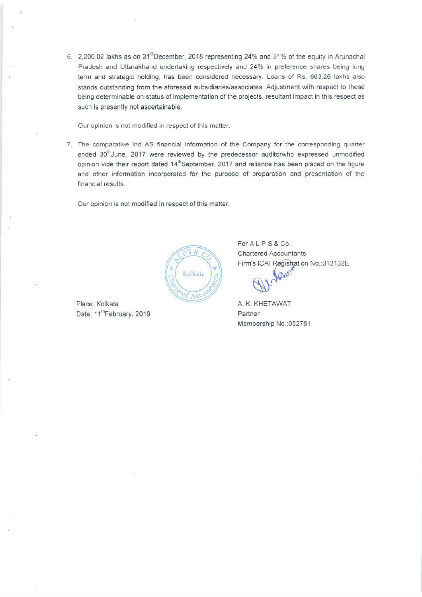6. 2,200.02 lakhs as on 31<sup>st</sup>December, 2018 representing 24% and 51% of the equity in Arunachal Pradesh and Uttarakhand undertaking respectively and 24% in preference shares being long term and strategic holding, has been considered necessary. Loans of Rs. 663.26 lakhs also stands outstanding from the aforesaid subsidiaries/associates. Adjustment with respect to these being determinable on status of implementation of the projects, resultant impact in this respect as such is presently not ascertainable.

Our opinion is not modified in respect of this matter.

7. The comparative lnd AS financial information of the Company for the corresponding quarter ended 30<sup>th</sup>June, 2017 were reviewed by the predecessor auditorwho expressed unmodified opinion vide their report dated 14<sup>th</sup>September, 2017 and reliance has been placed on the figure and other information incorporated for the purpose of preparation and presentation of the financial results.

Our opinion is not modified in respect of this matter.



Date: 11<sup>th</sup>February, 2019 **Partner** 

For A L P S & Co. Chartered Accountants Firm's ICAI Registration No.:313132E

Membership No.:052751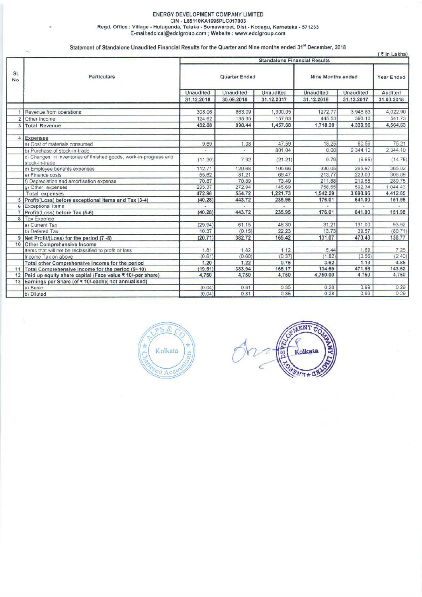#### ENERGY DEVELOPMENT COMPANY LIMITED CIN . L85110KA1995PLC017003 Regd. Office : Village · Hulugunda, Taluka • Somawarpet, Oist • Kodagu, Karnataka • 571233 E-mail:edclcal@edclgroup.com ; Website : www.edclgroup.com

Statement of Standalone Unaudited Financial Results for the Quarter and Nine months ended 31" December, 2018

|                        | $\mathcal{D}_{\mathcal{A}}$                                                         |                                     |                  |            |                   |            | (₹in Lakhs) |  |
|------------------------|-------------------------------------------------------------------------------------|-------------------------------------|------------------|------------|-------------------|------------|-------------|--|
|                        |                                                                                     | <b>Standalone Financial Results</b> |                  |            |                   |            |             |  |
| <b>SL</b><br><b>No</b> | Particulars                                                                         |                                     | Quarter Ended    |            | Nine Months ended |            | Year Ended  |  |
|                        |                                                                                     | <b>Unaudited</b>                    | <b>Unaudited</b> | Unaudited  | <b>Unaudited</b>  | Unaudited  | Audited     |  |
|                        |                                                                                     | 31.12.2018                          | 30.09.2018       | 31.12.2017 | 31.12.2018        | 31.12.2017 | 31.03.2018  |  |
|                        |                                                                                     |                                     |                  |            |                   |            |             |  |
|                        | Revenue from operations                                                             | 308.06                              | 863.09           | 1,300.05   | 1272.77           | 3,946.83   | 4,022.90    |  |
| $\overline{c}$         | Other Income                                                                        | 124.62                              | 135.35           | 157.63     | 445.53            | 393.13     | 541.73      |  |
| 3                      | Total Revenue                                                                       | 432.68                              | 998.44           | 1,457.68   | 1,718.30          | 4,339.96   | 4,564.63    |  |
| 4                      | Expenses                                                                            |                                     |                  |            |                   |            |             |  |
|                        | a) Cost of materials consumed                                                       | 9.69                                | 1.08             | 47.59      | 18.25             | 60.59      | 75.21       |  |
|                        | b) Purchase of stock-in-trade                                                       |                                     | ۰.               | 801.04     | 0.00              | 2,344.10   | 2.344.10    |  |
|                        | c) Changes in inventories of finished goods, work-in-progress and<br>stock-in-trade | (11.30)                             | 7.92             | (21.21)    | 9.79              | (6.65)     | (14.75)     |  |
|                        | d) Employee benefits expenses                                                       | 112.71                              | 120.68           | 105.66     | 330.05            | 265.97     | 365.02      |  |
|                        | e) Finance costs                                                                    | 55.62                               | 81.21            | 69.47      | 213.77            | 223.03     | 308.89      |  |
|                        | f) Depreciation and amortisation expense                                            | 70.87                               | 70.89            | 73.49      | 211.88            | 219.58     | 289.75      |  |
|                        | g) Other expenses                                                                   | 235.37                              | 272.94           | 145.69     | 758.55            | 592.34     | 1,044.43    |  |
|                        | <b>Total expenses</b>                                                               | 472.96                              | 554.72           | 1,221.73   | 1,542.29          | 3,698.96   | 4,412.65    |  |
| 5                      | Profit/(Loss) before exceptional items and Tax (3-4)                                | (40.28)                             | 443.72           | 235.95     | 176.01            | 641.00     | 151.98      |  |
| 6                      | <b>Exceptional Items</b>                                                            |                                     |                  |            |                   |            |             |  |
|                        | Profit/(Loss) before Tax (5-6)                                                      | (40.28)                             | 443.72           | 235.95     | 176.01            | 641.00     | 151.98      |  |
|                        | 8 Tax Expense                                                                       |                                     |                  |            |                   |            |             |  |
|                        | a) Current Tax                                                                      | (29.94)                             | 61.15            | 48.30      | 31.21             | 131.00     | 93.92       |  |
|                        | b) Defered Tax                                                                      | 10.37                               | (0.15)           | 22.23      | 13.73             | 39.57      | (80.71)     |  |
| 9                      | Net Profit/(Loss) for the period (7 -8)                                             | (20.71)                             | 382.72           | 165.42     | 131.07            | 470.43     | 138.77      |  |
| 10                     | <b>Other Comprehensive Income</b>                                                   |                                     |                  |            |                   |            |             |  |
|                        | Items that will not be reclassified to profit or loss                               | 1.81                                | 1.82             | 1.12       | 5.44              | 1.69       | 7.25        |  |
|                        | Income Tax on above                                                                 | (0.61)                              | (0.60)           | (0.37)     | (1.82)            | (0.56)     | (2.40)      |  |
|                        | Total other Comprehensive Income for the period                                     | 1.20                                | 1.22             | 0.75       | 3.62              | 1.13       | 4.85        |  |
| 11                     | Total Comprehensive Income for the period (9+10)                                    | (19.51)                             | 383.94           | 166.17     | 134.69            | 471.56     | 143.62      |  |
| 12                     | Paid up equity share capital (Face value ₹ 10/-per share)                           | 4,750                               | 4,750            | 4,750      | 4,750.00          | 4,750      | 4,750       |  |
| 13                     | Earnings per Share (of ₹ 10/-each)(not annualised)                                  |                                     |                  |            |                   |            |             |  |
|                        | a) Basic                                                                            | (0.04)                              | 0.81             | 0.35       | 0.28              | 0.99       | 0.29        |  |
|                        | b) Diluted                                                                          | (0.04)                              | 0.81             | 0.35       | 0.28              | 0.99       | 0.29        |  |

 $\mathcal{R}$ Ś Kolkata đ Acc

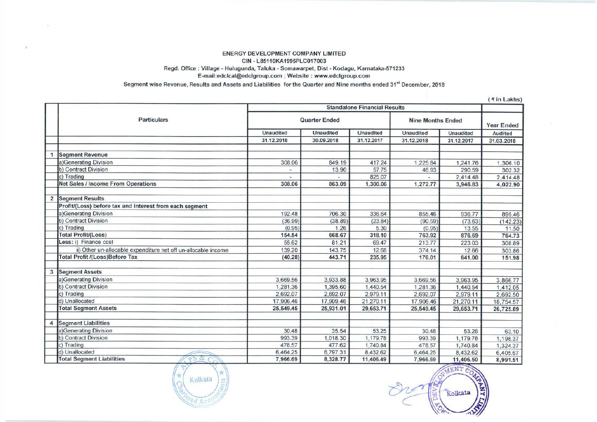### ENERGY DEVELOPMENT COMPANY LIMITED CIN - L851 10KA1995PLC017003 Regd. Office: Village- Hulugunda, Taluka- Somawarpet, Dist- Kodagu, Karnataka-571233 E-mail:edclcal@edclgroup.com ; Website : www.edclgroup.com

Segment wise Revenue, Results and Assets and Liabilities for the Quarter and Nine months ended 31<sup>st</sup> December, 2018

 $($  ₹ in Lakhs)

|                |                                                                |                  |                      | <b>Standalone Financial Results</b> |                          |                  | <b>THE FOUNDATION</b> |
|----------------|----------------------------------------------------------------|------------------|----------------------|-------------------------------------|--------------------------|------------------|-----------------------|
|                | <b>Particulars</b>                                             |                  | <b>Quarter Ended</b> |                                     | <b>Nine Months Ended</b> |                  | Year Ended            |
|                |                                                                | <b>Unaudited</b> | <b>Unaudited</b>     | <b>Unaudited</b>                    | <b>Unaudited</b>         | <b>Unaudited</b> | Audited               |
|                |                                                                | 31.12.2018       | 30.09.2018           | 31.12.2017                          | 31.12.2018               | 31.12.2017       | 31.03.2018            |
|                | <b>Segment Revenue</b>                                         |                  |                      |                                     |                          |                  |                       |
|                | a)Generating Division                                          | 308.06           | 849.19               | 417.24                              | 1,225.84                 | 1,241.76         | 1,306.10              |
|                | b) Contract Division                                           |                  | 13.90                | 57.75                               | 46.93                    | 290.59           | 302.32                |
|                | c) Trading                                                     |                  |                      | 825.07                              |                          | 2,414.48         | 2,414.48              |
|                | <b>Net Sales / Income From Operations</b>                      | 308.06           | 863.09               | 1,300.06                            | 1,272.77                 | 3,946.83         | 4,022.90              |
| $\overline{2}$ | <b>Segment Results</b>                                         |                  |                      |                                     |                          |                  |                       |
|                | Profit/(Loss) before tax and interest from each segment        |                  |                      |                                     |                          |                  |                       |
|                | a)Generating Division                                          | 192.48           | 706.30               | 336.64                              | 855.46                   | 936.77           | 895.46                |
|                | b) Contract Division                                           | (36.99)          | (38.89)              | (23.84)                             | (90.59)                  | (73.63)          | (142.23)              |
|                | c) Trading                                                     | (0.95)           | 1.26                 | 5.30                                | (0.95)                   | 13.55            | 11.50                 |
|                | Total Profit/(Loss)                                            | 154.54           | 668.67               | 318.10                              | 763.92                   | 876.69           | 764.73                |
|                | Less: i) Finance cost                                          | 55.62            | 81.21                | 69.47                               | 213.77                   | 223.03           | 308.89                |
|                | ii) Other un-allocable expenditure net off un-allocable income | 139.20           | 143.75               | 12.68                               | 374.14                   | 12.66            | 303.86                |
|                | <b>Total Profit /(Loss)Before Tax</b>                          | (40.28)          | 443.71               | 235.95                              | 176.01                   | 641.00           | 151.98                |
| 3              | <b>Segment Assets</b>                                          |                  |                      |                                     |                          |                  |                       |
|                | a)Generating Division                                          | 3,669.56         | 3,933.88             | 3.963.95                            | 3,669.56                 | 3,963.95         | 3,866.77              |
|                | b) Contract Division                                           | 1,281.36         | 1,395.60             | 1,440.54                            | 1,281.36                 | 1,440.54         | 1,412.05              |
|                | c) Trading                                                     | 2,692.07         | 2,692.07             | 2,979.11                            | 2,692.07                 | 2,979.11         | 2,692.50              |
|                | d) Unallocated                                                 | 17,906.46        | 17,909.46            | 21,270.11                           | 17,906.46                | 21,270.11        | 18,754.57             |
|                | <b>Total Segment Assets</b>                                    | 25,549.45        | 25,931.01            | 29,653.71                           | 25,549.45                | 29,653.71        | 26,725.89             |
| 4              | <b>Segment Liabilities</b>                                     |                  |                      |                                     |                          |                  |                       |
|                | a)Generating Division                                          | 30.48            | 35.54                | 53.25                               | 30.48                    | 53.26            | 63.10                 |
|                | b) Contract Division                                           | 993.39           | 1,018.30             | 1,179.78                            | 993.39                   | 1,179.78         | 1,198.37              |
|                | c) Trading                                                     | 478.57           | 477.62               | 1,740.84                            | 478.57                   | 1,740.84         | 1,324.37              |
|                | d) Unallocated                                                 | 6,464.25         | 6,797.31             | 8,432.62                            | 6,464.25                 | 8,432.62         | 6,405.67              |
|                | $P5\alpha$<br><b>Total Segment Liabilities</b>                 | 7,966.69         | 8,328.77             | 11,406.49                           | 7,966.69                 | 11,406.50        | 8,991.51              |



7,966.69 6,326.77 11,406.49 7,966.69 11,406.50 8,99 Find a construction of the construction of the contract of the contract of the contract of the contract of the contract of the contract of the contract of the contract of the contract of the contract of the contract of the  $\frac{1}{\sqrt{2}}$